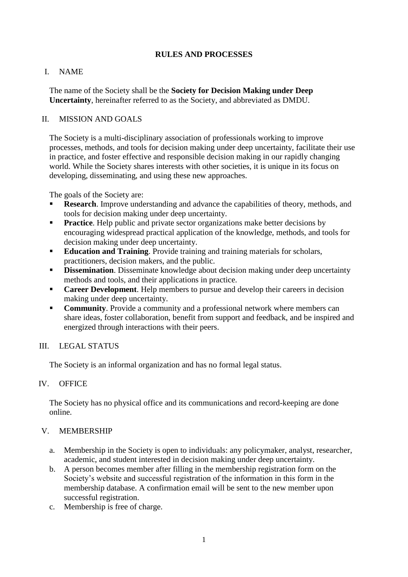## **RULES AND PROCESSES**

## I. NAME

The name of the Society shall be the **Society for Decision Making under Deep Uncertainty**, hereinafter referred to as the Society, and abbreviated as DMDU.

### II. MISSION AND GOALS

The Society is a multi-disciplinary association of professionals working to improve processes, methods, and tools for decision making under deep uncertainty, facilitate their use in practice, and foster effective and responsible decision making in our rapidly changing world. While the Society shares interests with other societies, it is unique in its focus on developing, disseminating, and using these new approaches.

The goals of the Society are:

- **Research**. Improve understanding and advance the capabilities of theory, methods, and tools for decision making under deep uncertainty.
- **Practice**. Help public and private sector organizations make better decisions by encouraging widespread practical application of the knowledge, methods, and tools for decision making under deep uncertainty.
- **Education and Training**. Provide training and training materials for scholars, practitioners, decision makers, and the public.
- **Dissemination**. Disseminate knowledge about decision making under deep uncertainty methods and tools, and their applications in practice.
- **Career Development**. Help members to pursue and develop their careers in decision making under deep uncertainty.
- **Community**. Provide a community and a professional network where members can share ideas, foster collaboration, benefit from support and feedback, and be inspired and energized through interactions with their peers.

## III. LEGAL STATUS

The Society is an informal organization and has no formal legal status.

#### IV. OFFICE

The Society has no physical office and its communications and record-keeping are done online.

#### V. MEMBERSHIP

- a. Membership in the Society is open to individuals: any policymaker, analyst, researcher, academic, and student interested in decision making under deep uncertainty.
- b. A person becomes member after filling in the membership registration form on the Society's website and successful registration of the information in this form in the membership database. A confirmation email will be sent to the new member upon successful registration.
- c. Membership is free of charge.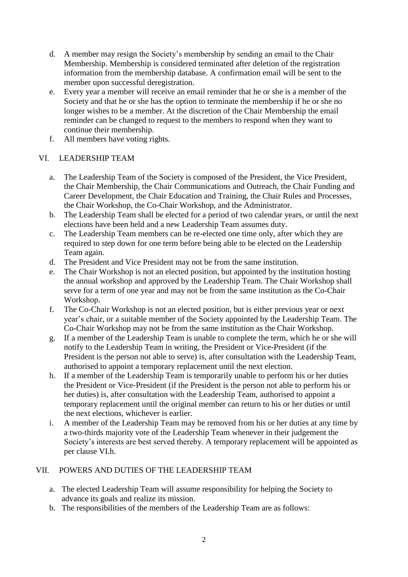- d. A member may resign the Society's membership by sending an email to the Chair Membership. Membership is considered terminated after deletion of the registration information from the membership database. A confirmation email will be sent to the member upon successful deregistration.
- e. Every year a member will receive an email reminder that he or she is a member of the Society and that he or she has the option to terminate the membership if he or she no longer wishes to be a member. At the discretion of the Chair Membership the email reminder can be changed to request to the members to respond when they want to continue their membership.
- f. All members have voting rights.

## VI. LEADERSHIP TEAM

- a. The Leadership Team of the Society is composed of the President, the Vice President, the Chair Membership, the Chair Communications and Outreach, the Chair Funding and Career Development, the Chair Education and Training, the Chair Rules and Processes, the Chair Workshop, the Co-Chair Workshop, and the Administrator.
- b. The Leadership Team shall be elected for a period of two calendar years, or until the next elections have been held and a new Leadership Team assumes duty.
- c. The Leadership Team members can be re-elected one time only, after which they are required to step down for one term before being able to be elected on the Leadership Team again.
- d. The President and Vice President may not be from the same institution.
- e. The Chair Workshop is not an elected position, but appointed by the institution hosting the annual workshop and approved by the Leadership Team. The Chair Workshop shall serve for a term of one year and may not be from the same institution as the Co-Chair Workshop.
- f. The Co-Chair Workshop is not an elected position, but is either previous year or next year's chair, or a suitable member of the Society appointed by the Leadership Team. The Co-Chair Workshop may not be from the same institution as the Chair Workshop.
- g. If a member of the Leadership Team is unable to complete the term, which he or she will notify to the Leadership Team in writing, the President or Vice-President (if the President is the person not able to serve) is, after consultation with the Leadership Team, authorised to appoint a temporary replacement until the next election.
- h. If a member of the Leadership Team is temporarily unable to perform his or her duties the President or Vice-President (if the President is the person not able to perform his or her duties) is, after consultation with the Leadership Team, authorised to appoint a temporary replacement until the original member can return to his or her duties or until the next elections, whichever is earlier.
- i. A member of the Leadership Team may be removed from his or her duties at any time by a two-thirds majority vote of the Leadership Team whenever in their judgement the Society's interests are best served thereby. A temporary replacement will be appointed as per clause VI.h.

## VII. POWERS AND DUTIES OF THE LEADERSHIP TEAM

- a. The elected Leadership Team will assume responsibility for helping the Society to advance its goals and realize its mission.
- b. The responsibilities of the members of the Leadership Team are as follows: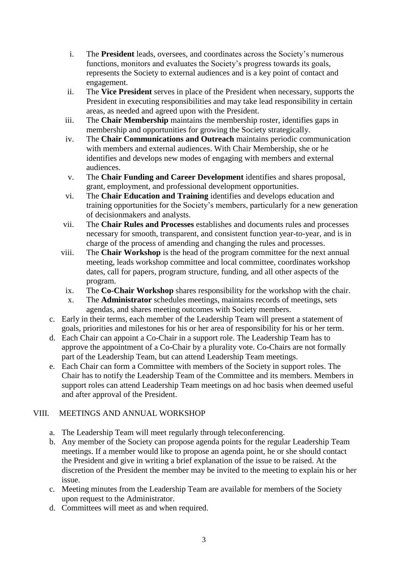- i. The **President** leads, oversees, and coordinates across the Society's numerous functions, monitors and evaluates the Society's progress towards its goals, represents the Society to external audiences and is a key point of contact and engagement.
- ii. The **Vice President** serves in place of the President when necessary, supports the President in executing responsibilities and may take lead responsibility in certain areas, as needed and agreed upon with the President.
- iii. The **Chair Membership** maintains the membership roster, identifies gaps in membership and opportunities for growing the Society strategically.
- iv. The **Chair Communications and Outreach** maintains periodic communication with members and external audiences. With Chair Membership, she or he identifies and develops new modes of engaging with members and external audiences.
- v. The **Chair Funding and Career Development** identifies and shares proposal, grant, employment, and professional development opportunities.
- vi. The **Chair Education and Training** identifies and develops education and training opportunities for the Society's members, particularly for a new generation of decisionmakers and analysts.
- vii. The **Chair Rules and Processes** establishes and documents rules and processes necessary for smooth, transparent, and consistent function year-to-year, and is in charge of the process of amending and changing the rules and processes.
- viii. The **Chair Workshop** is the head of the program committee for the next annual meeting, leads workshop committee and local committee, coordinates workshop dates, call for papers, program structure, funding, and all other aspects of the program.
- ix. The **Co-Chair Workshop** shares responsibility for the workshop with the chair.
- x. The **Administrator** schedules meetings, maintains records of meetings, sets agendas, and shares meeting outcomes with Society members.
- c. Early in their terms, each member of the Leadership Team will present a statement of goals, priorities and milestones for his or her area of responsibility for his or her term.
- d. Each Chair can appoint a Co-Chair in a support role. The Leadership Team has to approve the appointment of a Co-Chair by a plurality vote. Co-Chairs are not formally part of the Leadership Team, but can attend Leadership Team meetings.
- e. Each Chair can form a Committee with members of the Society in support roles. The Chair has to notify the Leadership Team of the Committee and its members. Members in support roles can attend Leadership Team meetings on ad hoc basis when deemed useful and after approval of the President.

# VIII. MEETINGS AND ANNUAL WORKSHOP

- a. The Leadership Team will meet regularly through teleconferencing.
- b. Any member of the Society can propose agenda points for the regular Leadership Team meetings. If a member would like to propose an agenda point, he or she should contact the President and give in writing a brief explanation of the issue to be raised. At the discretion of the President the member may be invited to the meeting to explain his or her issue.
- c. Meeting minutes from the Leadership Team are available for members of the Society upon request to the Administrator.
- d. Committees will meet as and when required.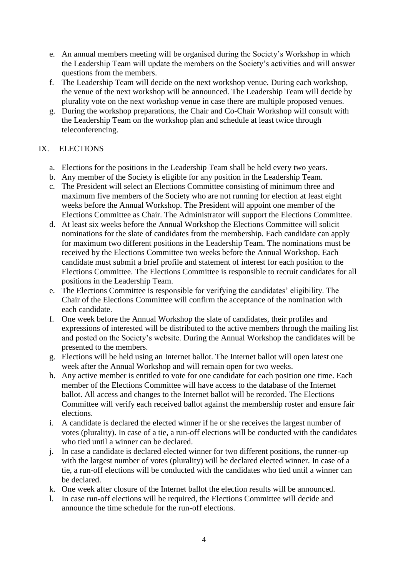- e. An annual members meeting will be organised during the Society's Workshop in which the Leadership Team will update the members on the Society's activities and will answer questions from the members.
- f. The Leadership Team will decide on the next workshop venue. During each workshop, the venue of the next workshop will be announced. The Leadership Team will decide by plurality vote on the next workshop venue in case there are multiple proposed venues.
- g. During the workshop preparations, the Chair and Co-Chair Workshop will consult with the Leadership Team on the workshop plan and schedule at least twice through teleconferencing.

## IX. ELECTIONS

- a. Elections for the positions in the Leadership Team shall be held every two years.
- b. Any member of the Society is eligible for any position in the Leadership Team.
- c. The President will select an Elections Committee consisting of minimum three and maximum five members of the Society who are not running for election at least eight weeks before the Annual Workshop. The President will appoint one member of the Elections Committee as Chair. The Administrator will support the Elections Committee.
- d. At least six weeks before the Annual Workshop the Elections Committee will solicit nominations for the slate of candidates from the membership. Each candidate can apply for maximum two different positions in the Leadership Team. The nominations must be received by the Elections Committee two weeks before the Annual Workshop. Each candidate must submit a brief profile and statement of interest for each position to the Elections Committee. The Elections Committee is responsible to recruit candidates for all positions in the Leadership Team.
- e. The Elections Committee is responsible for verifying the candidates' eligibility. The Chair of the Elections Committee will confirm the acceptance of the nomination with each candidate.
- f. One week before the Annual Workshop the slate of candidates, their profiles and expressions of interested will be distributed to the active members through the mailing list and posted on the Society's website. During the Annual Workshop the candidates will be presented to the members.
- g. Elections will be held using an Internet ballot. The Internet ballot will open latest one week after the Annual Workshop and will remain open for two weeks.
- h. Any active member is entitled to vote for one candidate for each position one time. Each member of the Elections Committee will have access to the database of the Internet ballot. All access and changes to the Internet ballot will be recorded. The Elections Committee will verify each received ballot against the membership roster and ensure fair elections.
- i. A candidate is declared the elected winner if he or she receives the largest number of votes (plurality). In case of a tie, a run-off elections will be conducted with the candidates who tied until a winner can be declared.
- j. In case a candidate is declared elected winner for two different positions, the runner-up with the largest number of votes (plurality) will be declared elected winner. In case of a tie, a run-off elections will be conducted with the candidates who tied until a winner can be declared.
- k. One week after closure of the Internet ballot the election results will be announced.
- l. In case run-off elections will be required, the Elections Committee will decide and announce the time schedule for the run-off elections.